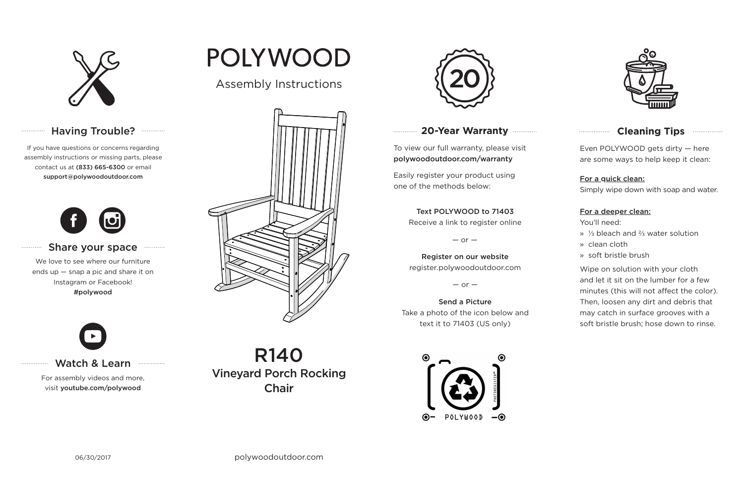

# Having Trouble? ............

# **20-Year Warranty**

To view our full warranty, please visit polywoodoutdoor.com/warranty

Easily register your product using one of the methods below:

Even POLYWOOD gets dirty — here are some ways to help keep it clean:

#### For a quick clean:

Simply wipe down with soap and water.

#### For a deeper clean:

You'll need:

- » ⅓ bleach and ⅔ water solution
- » clean cloth
- » soft bristle brush

Wipe on solution with your cloth and let it sit on the lumber for a few minutes (this will not affect the color). Then, loosen any dirt and debris that may catch in surface grooves with a soft bristle brush; hose down to rinse.

#### Share your space . . . . . . . . . . .

### Text POLYWOOD to 71403

Receive a link to register online

 $-$  or  $-$ 

Register on our website register.polywoodoutdoor.com

 $-$  or  $-$ 

## Send a Picture Take a photo of the icon below and text it to 71403 (US only)





## **Cleaning Tips <b>Cleaning**</u>

## Watch & Learn

For assembly videos and more, visit youtube.com/polywood

If you have questions or concerns regarding assembly instructions or missing parts, please contact us at (833) 665-6300 or email support@polywoodoutdoor.com

. . . . . . . . . . . . .

. . . . . . . . . . .

. . . . . . . . . . . . . . .



We love to see where our furniture ends up — snap a pic and share it on Instagram or Facebook! #polywood



POLYWOOD



R140 Vineyard Porch Rocking Chair